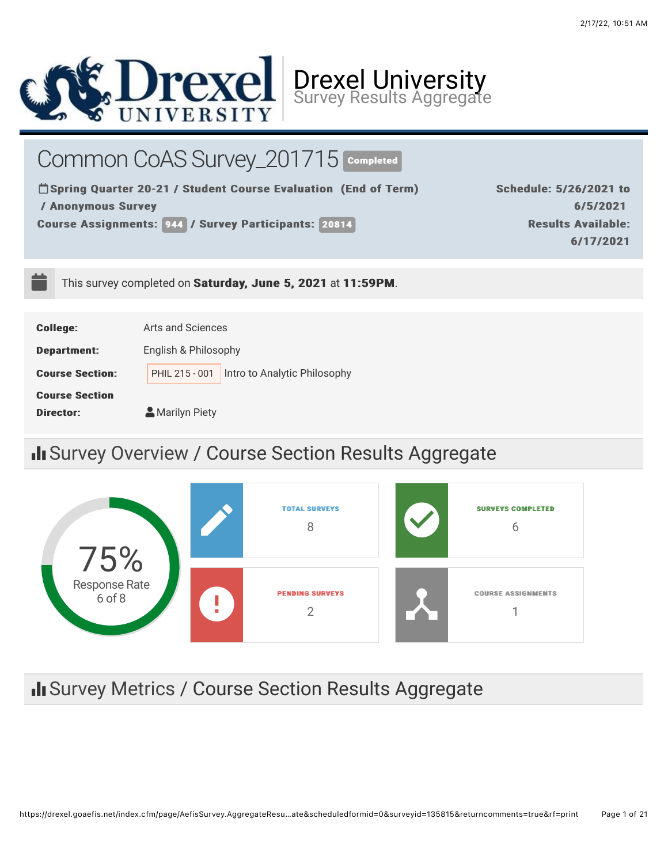

Common CoAS Survey\_201715 COmpleted

□ Spring Quarter 20-21 / Student Course Evaluation (End of Term) / Anonymous Survey / Anonymous Survey

Course Assignments: 944 / Survey Participants: 20814

Schedule: 5/26/2021 to 6/5/2021 6/5/2021 **Results Available:** 6/17/2021 6/17/2021

This survey completed on Saturday, June 5, 2021 at 11:59PM.

| <b>College:</b>        | Arts and Sciences                              |  |  |  |
|------------------------|------------------------------------------------|--|--|--|
| <b>Department:</b>     | English & Philosophy                           |  |  |  |
| <b>Course Section:</b> | Intro to Analytic Philosophy<br>PHIL 215 - 001 |  |  |  |
| <b>Course Section</b>  |                                                |  |  |  |
| Director:              | Marilyn Piety                                  |  |  |  |

# II Survey Overview / Course Section Results Aggregate



# II Survey Metrics / Course Section Results Aggregate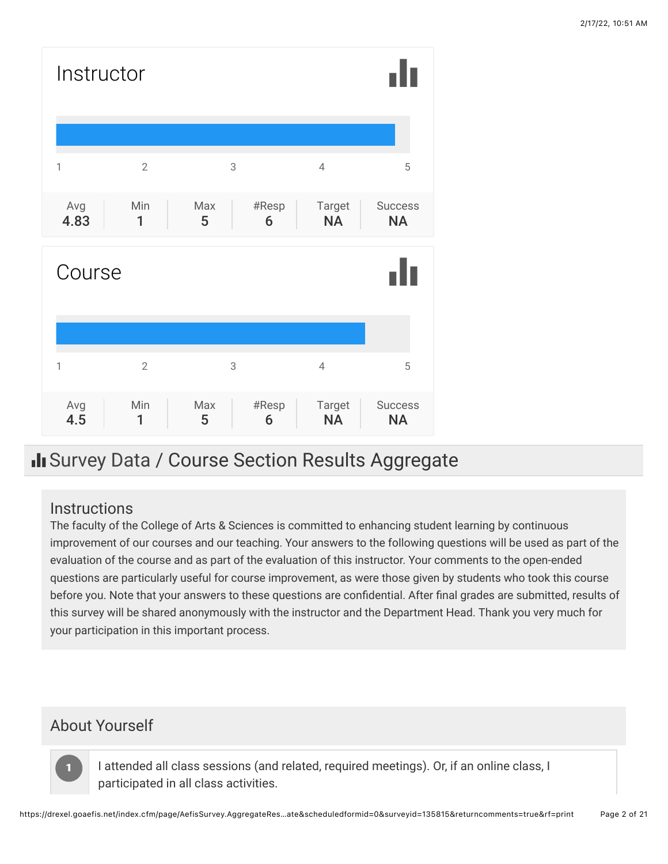

# Il Survey Data / Course Section Results Aggregate

#### **Instructions**

The faculty of the College of Arts & Sciences is committed to enhancing student learning by continuous improvement of our courses and our teaching. Your answers to the following questions will be used as part of the evaluation of the course and as part of the evaluation of this instructor. Your comments to the open-ended questions are particularly useful for course improvement, as were those given by students who took this course before you. Note that your answers to these questions are confidential. After final grades are submitted, results of this survey will be shared anonymously with the instructor and the Department Head. Thank you very much for your participation in this important process.

## About Yourself

11

I attended all class sessions (and related, required meetings). Or, if an online class, I participated in all class activities.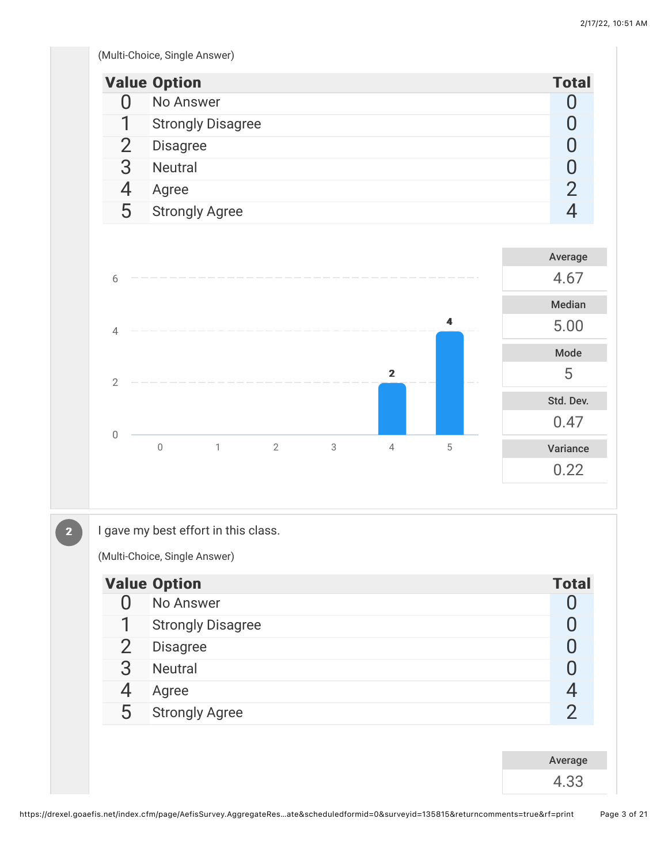(Multi-Choice, Single Answer)

|               | <b>Value Option</b>      | <b>Total</b> |
|---------------|--------------------------|--------------|
|               | No Answer                |              |
|               | <b>Strongly Disagree</b> |              |
| $\mathcal{P}$ | <b>Disagree</b>          |              |
| 3             | <b>Neutral</b>           |              |
|               | Agree                    |              |
| 5             | <b>Strongly Agree</b>    |              |



 $\boxed{2}$ 

I gave my best effort in this class.

(Multi-Choice, Single Answer)

|                | <b>Value Option</b>      | <b>Total</b>  |
|----------------|--------------------------|---------------|
| $\mathbf{I}$   | No Answer                |               |
| 1              | <b>Strongly Disagree</b> |               |
| $\overline{2}$ | <b>Disagree</b>          |               |
| 3              | <b>Neutral</b>           |               |
| 4              | Agree                    | 4             |
| 5              | <b>Strongly Agree</b>    | $\mathcal{P}$ |
|                |                          |               |
|                |                          | Average       |
|                |                          | 4.33          |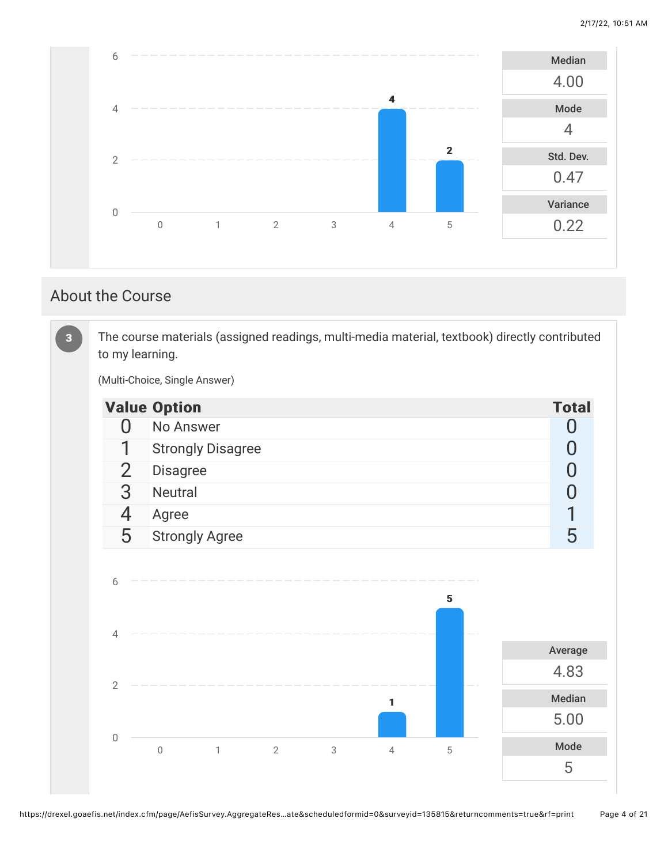

### About the Course

The course materials (assigned readings, multi-media material, textbook) directly contributed to my learning. (Multi-Choice, Single Answer) Value Option Total According to the United States of the United States of the United States of the United States of the United States of the United States of the United States of the United States of the United States of t 0 No Answer 0 20 No Answer 0 20 No Answer 0 20 No Answer 0 20 No Answer 0 20 No Answer 0 20 No Answer 0 20 No Answer 0 20 No Answer 0 20 No Answer 0 20 No Answer 0 20 No Answer 0 20 No Answer 0 20 No Answer 0 20 No Answer 1 Strongly Disagree **0** 0 end of the Disagree of the Disagree of the Disagree of the Disagree of the Disagree of the Disagree of the Disagree of the Disagree of the Disagree of the Disagree of the Disagree of the Disagree of the Disagree of the Dis 3 Neutral 0 4 Agree 1 and 1 and 1 and 1 and 1 and 1 and 1 and 1 and 1 and 1 and 1 and 1 and 1 and 1 and 1 and 1 and 1 and 1 5 Strongly Agree 5 Strongly Agree 5 Strongly Agree 5 Strongly Agree 5 Strongly Agree 5 Strongly Agree 5 Strongly Agree 5 Strongly Agree 5 Strongly Agree 5 Strongly Agree 5 Strongly Agree 5 Strongly Agree 5 Strongly Agree 5 Average 4.83 Median 5.00 Mode 5 33 11 55 0 1 2 3 4 5 0 2 4 6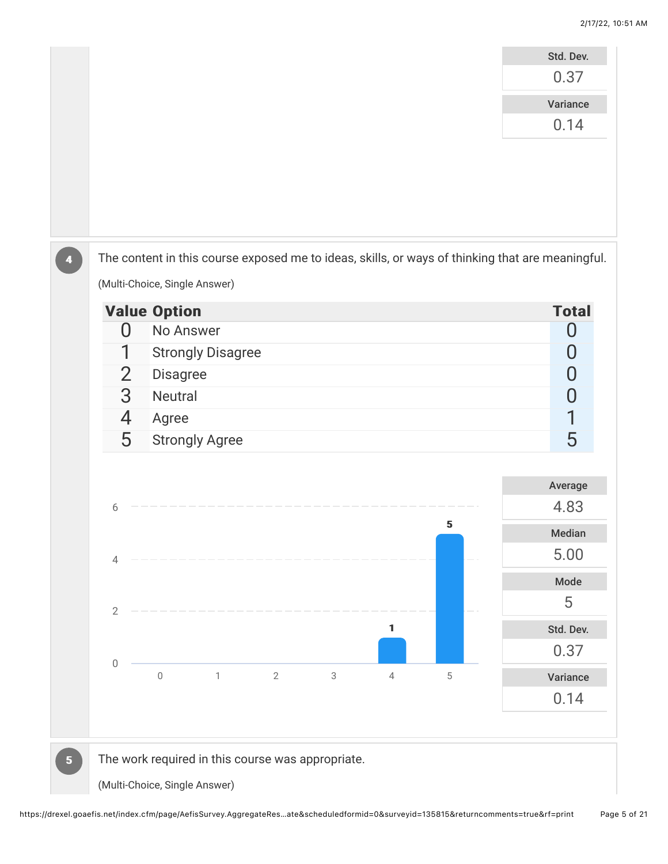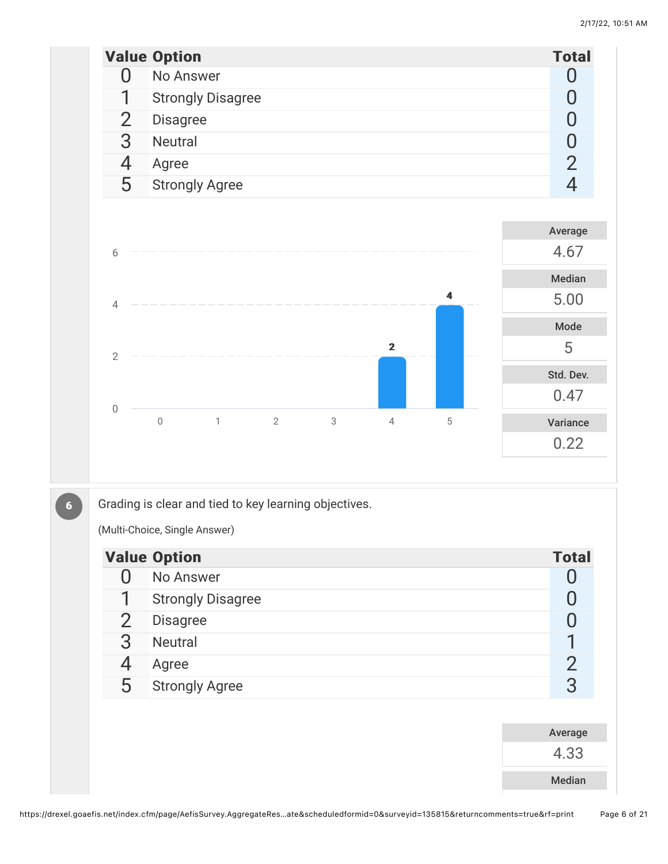|                |                | <b>Value Option</b>                                                    | <b>Total</b>   |
|----------------|----------------|------------------------------------------------------------------------|----------------|
|                | $\overline{0}$ | No Answer                                                              | 0              |
|                | 1              | <b>Strongly Disagree</b>                                               | 0              |
|                | $\overline{2}$ | <b>Disagree</b>                                                        | $\pmb{0}$      |
|                | 3              | Neutral                                                                | $\bf{0}$       |
|                | 4              | Agree                                                                  | $\overline{2}$ |
|                | 5              | <b>Strongly Agree</b>                                                  | $\overline{4}$ |
|                |                |                                                                        |                |
|                |                |                                                                        | Average        |
|                | 6              |                                                                        | 4.67           |
|                |                |                                                                        | Median         |
|                | $\sqrt{4}$     | 4                                                                      | 5.00           |
|                |                |                                                                        | Mode           |
|                | $\sqrt{2}$     | $\mathbf{2}$                                                           | 5              |
|                |                |                                                                        | Std. Dev.      |
|                |                |                                                                        | 0.47           |
|                | $\mathbf 0$    | $2\,$<br>3<br>$\mathbb O$<br>$\mathbf{1}$<br>$\sqrt{4}$<br>$\mathbf 5$ | Variance       |
|                |                |                                                                        | 0.22           |
|                |                |                                                                        |                |
|                |                |                                                                        |                |
| 6 <sup>1</sup> |                | Grading is clear and tied to key learning objectives.                  |                |
|                |                | (Multi-Choice, Single Answer)                                          |                |
|                |                | <b>Value Option</b>                                                    | <b>Total</b>   |
|                | $\overline{0}$ | No Answer                                                              | 0              |
|                | 1              | <b>Strongly Disagree</b>                                               | $\pmb{0}$      |
|                | $\overline{2}$ | Disagree                                                               | $\pmb{0}$      |
|                | 3              | Neutral                                                                | 1              |
|                | 4              | Agree                                                                  | $\frac{2}{3}$  |
|                | 5              | <b>Strongly Agree</b>                                                  |                |
|                |                |                                                                        |                |
|                |                |                                                                        | Average        |
|                |                |                                                                        | 4.33           |
|                |                |                                                                        | Median         |
|                |                |                                                                        |                |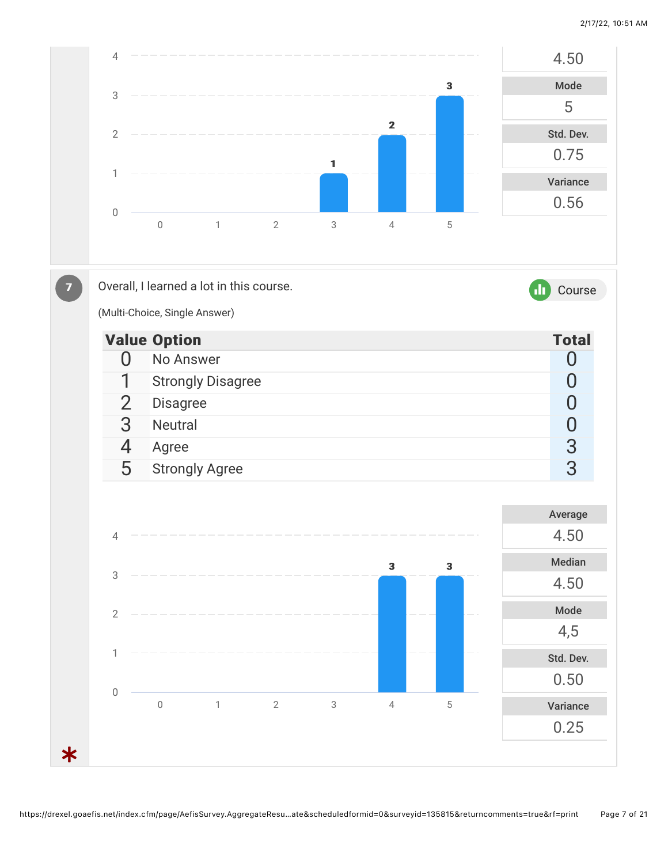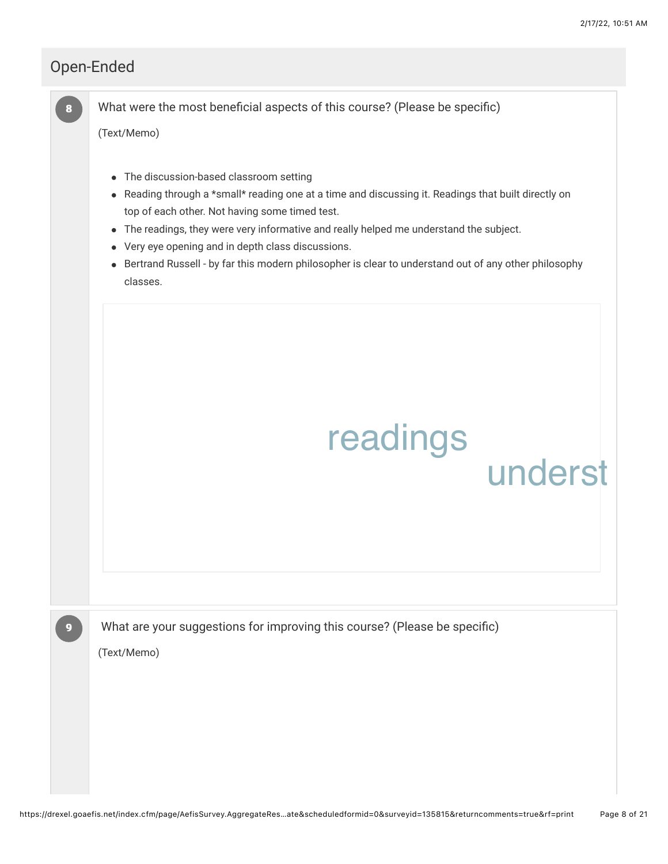underst

### Open-Ended

88

What were the most beneficial aspects of this course? (Please be specific)

(Text/Memo)

- The discussion-based classroom setting
- Reading through a \*small\* reading one at a time and discussing it. Readings that built directly on top of each other. Not having some timed test.
- The readings, they were very informative and really helped me understand the subject.
- Very eye opening and in depth class discussions.
- Bertrand Russell by far this modern philosopher is clear to understand out of any other philosophy classes.

| readings |  |
|----------|--|
|          |  |

What are your suggestions for improving this course? (Please be specific)

(Text/Memo)

99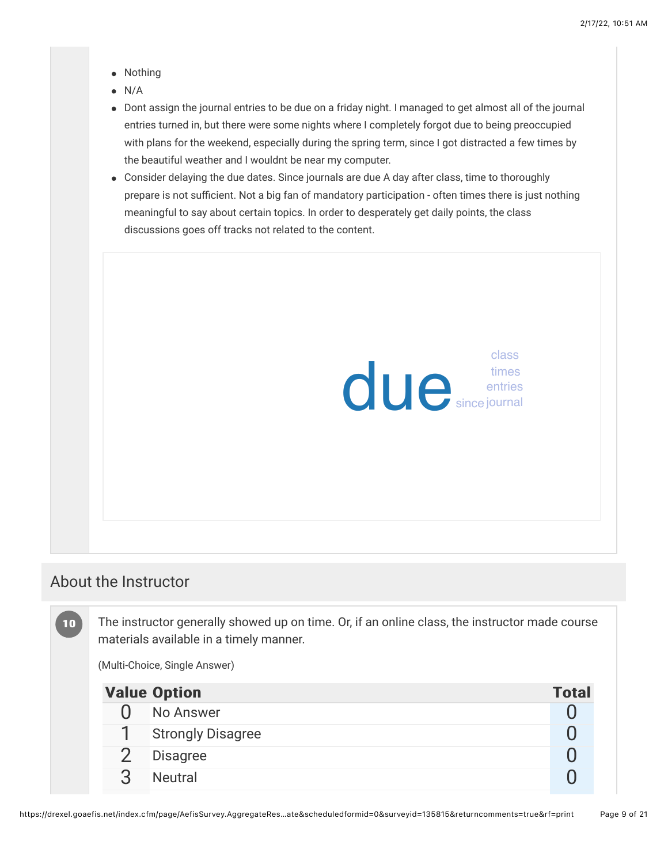- Nothing
- N/A
- Dont assign the journal entries to be due on a friday night. I managed to get almost all of the journal  $\bullet$ entries turned in, but there were some nights where I completely forgot due to being preoccupied with plans for the weekend, especially during the spring term, since I got distracted a few times by the beautiful weather and I wouldnt be near my computer.
- Consider delaying the due dates. Since journals are due A day after class, time to thoroughly prepare is not sufficient. Not a big fan of mandatory participation - often times there is just nothing meaningful to say about certain topics. In order to desperately get daily points, the class discussions goes off tracks not related to the content.



#### About the Instructor

The instructor generally showed up on time. Or, if an online class, the instructor made course materials available in a timely manner. (Multi-Choice, Single Answer) Value Option Total According to the Contract of Total Total Total Total Total Total Total Total Total Total Total Total Total Total Total Total Total Total Total Total Total Total Total Total Total Total Total Total Total  $\overline{0}$  No Answer  $\overline{0}$ 1 Strongly Disagree **0** 2 Disagree 0  $10$ 

3 Neutral 0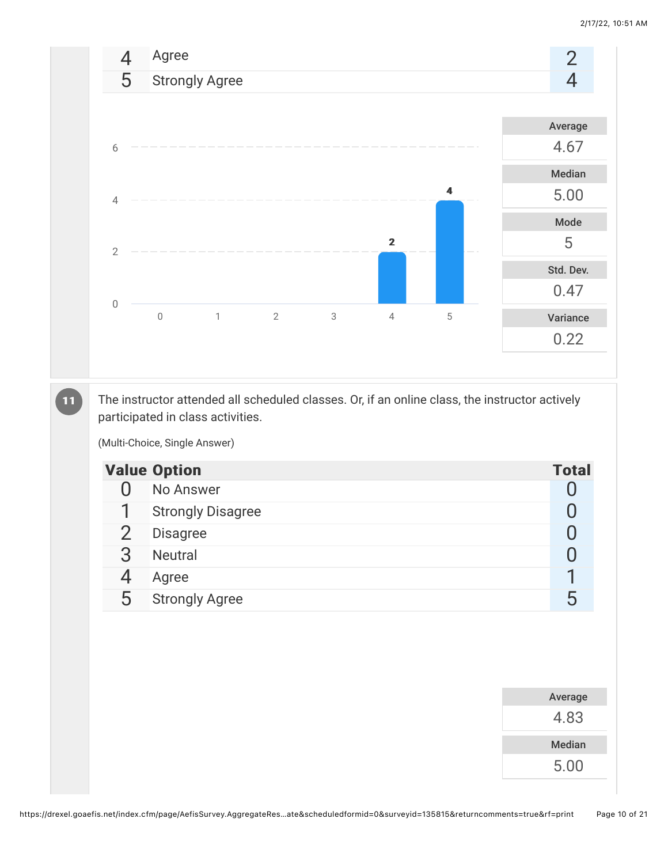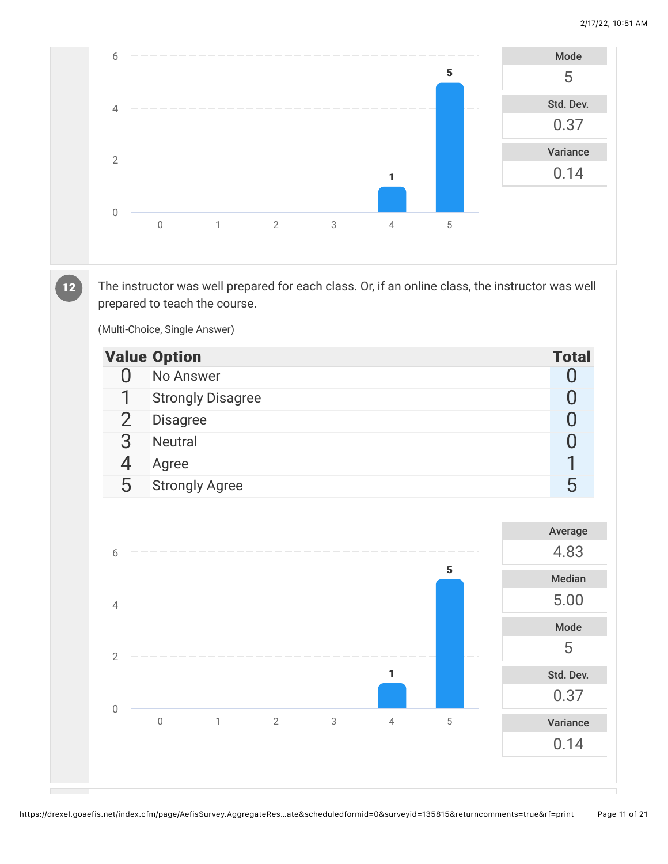

The instructor was well prepared for each class. Or, if an online class, the instructor was well prepared to teach the course.

(Multi-Choice, Single Answer)

 $12$ 

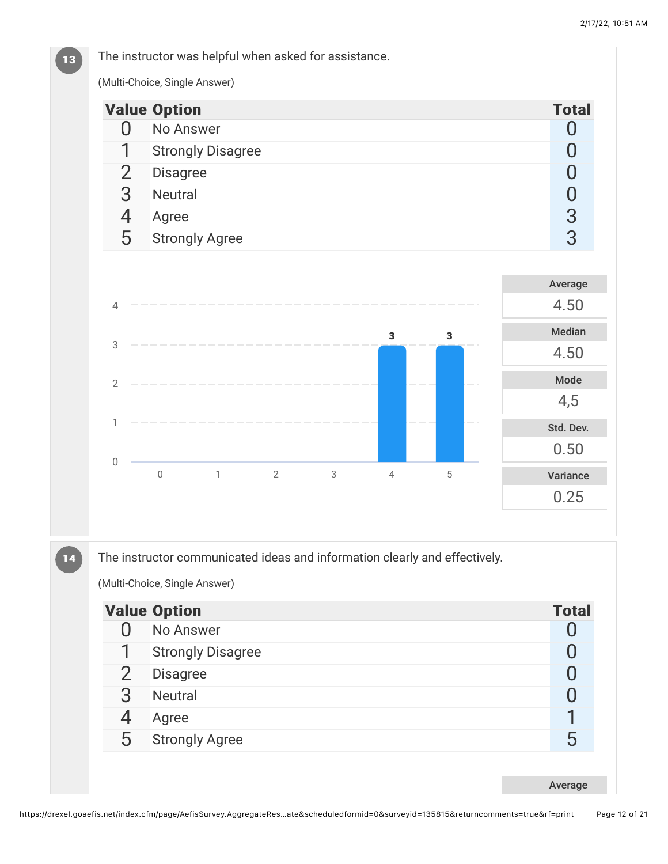#### The instructor was helpful when asked for assistance.

(Multi-Choice, Single Answer)

13

|                                                  | <b>Value Option</b>         |                |   |                         |                         | <b>Total</b>   |
|--------------------------------------------------|-----------------------------|----------------|---|-------------------------|-------------------------|----------------|
| $\Omega$                                         | No Answer                   |                |   |                         |                         | $\overline{0}$ |
| 1                                                | <b>Strongly Disagree</b>    |                |   |                         |                         | $\pmb{0}$      |
| $\overline{2}$                                   | Disagree                    |                |   |                         |                         | $\overline{0}$ |
| 3                                                | Neutral                     |                |   |                         |                         | $\overline{0}$ |
| $\overline{4}$                                   | Agree                       |                |   |                         |                         | $\overline{3}$ |
| 5                                                | <b>Strongly Agree</b>       |                |   |                         |                         | 3              |
|                                                  |                             |                |   |                         |                         | Average        |
| $\overline{4}$                                   |                             |                |   |                         |                         | 4.50           |
|                                                  |                             |                |   | $\overline{\mathbf{3}}$ |                         | Median         |
|                                                  |                             |                |   |                         | $\overline{\mathbf{3}}$ |                |
|                                                  |                             |                |   |                         |                         | 4.50           |
|                                                  |                             |                |   |                         |                         | Mode           |
|                                                  |                             |                |   |                         |                         | 4,5            |
| $\ensuremath{\mathsf{3}}$<br>$\overline{2}$<br>1 |                             |                |   |                         |                         | Std. Dev.      |
|                                                  |                             |                |   |                         |                         | 0.50           |
| $\mathbf 0$                                      | $\mathbf{1}$<br>$\mathbb O$ | $\overline{2}$ | 3 | $\overline{4}$          | 5                       | Variance       |

14

The instructor communicated ideas and information clearly and effectively.

(Multi-Choice, Single Answer)

|               | <b>Value Option</b>      | <b>Total</b> |
|---------------|--------------------------|--------------|
|               | No Answer                |              |
| 1             | <b>Strongly Disagree</b> |              |
| $\mathcal{P}$ | <b>Disagree</b>          |              |
| 3             | <b>Neutral</b>           |              |
|               | Agree                    |              |
| 5             | <b>Strongly Agree</b>    | 5            |
|               |                          |              |
|               |                          | Average      |

https://drexel.goaefis.net/index.cfm/page/AefisSurvey.AggregateRes…ate&scheduledformid=0&surveyid=135815&returncomments=true&rf=print Page 12 of 21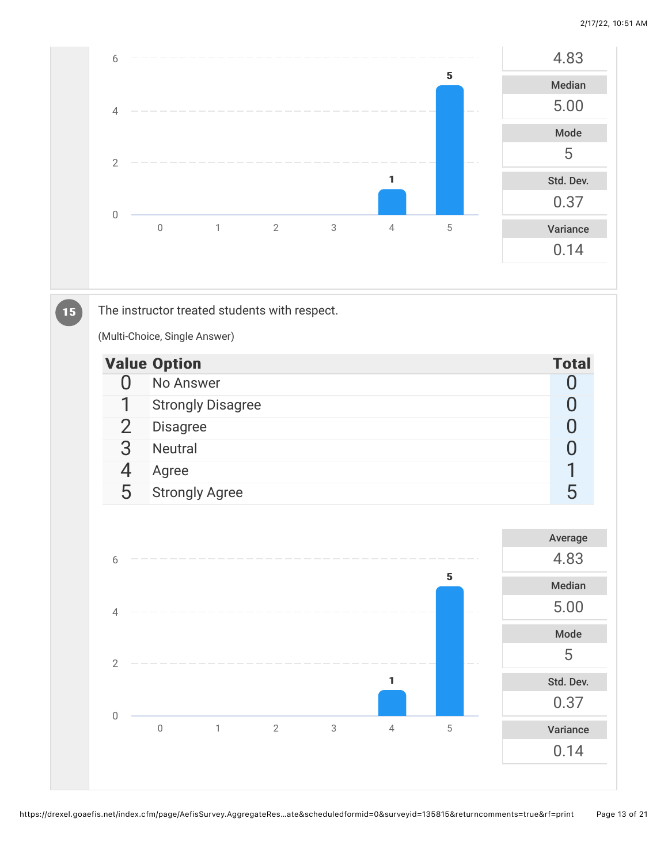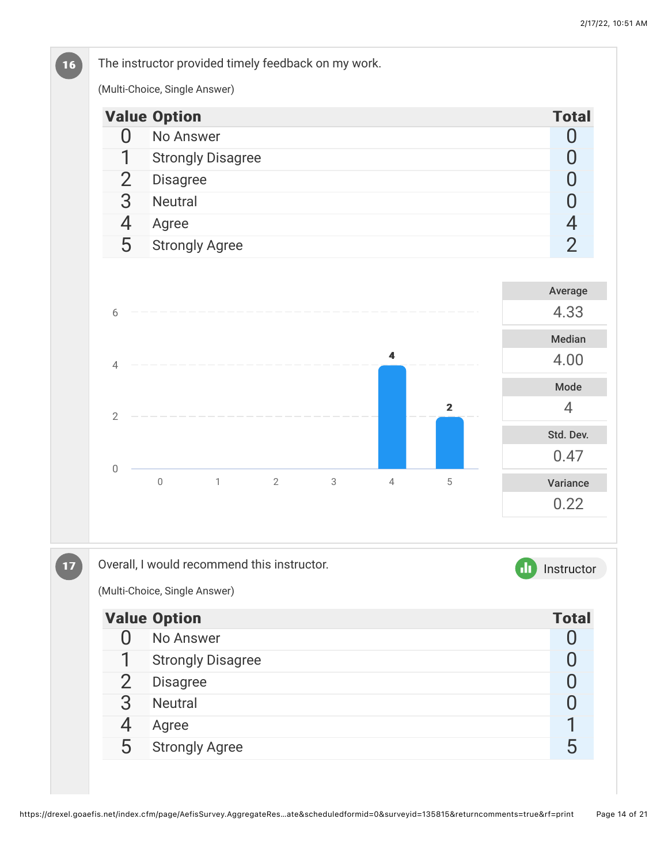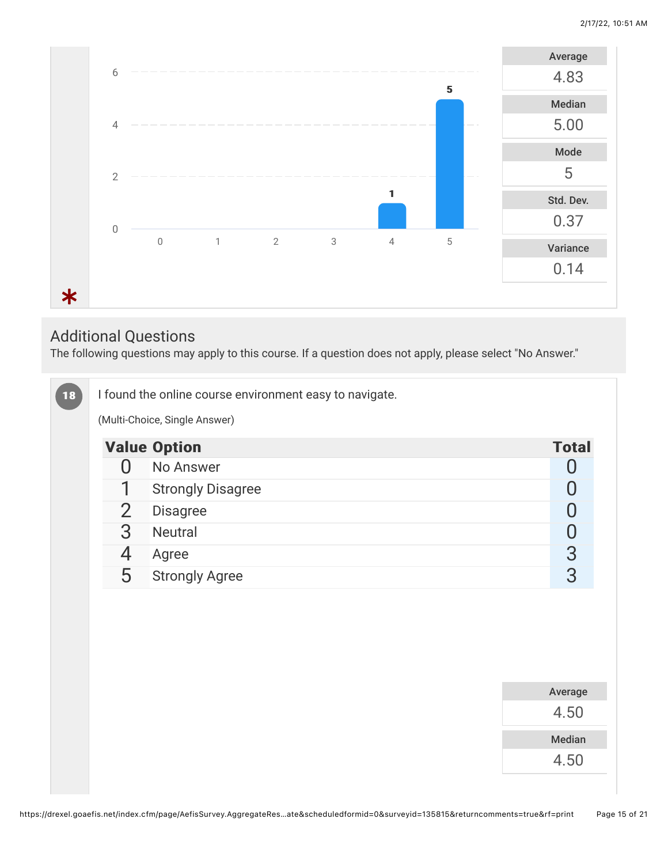

## Additional Questions

The following questions may apply to this course. If a question does not apply, please select "No Answer."

| (Multi-Choice, Single Answer)<br><b>Value Option</b><br>No Answer<br>0<br>1<br><b>Strongly Disagree</b><br>$\overline{2}$<br><b>Disagree</b><br>3<br><b>Neutral</b><br>4<br>Agree<br>5<br><b>Strongly Agree</b> |  |  | <b>Total</b><br>$\Omega$<br>$\overline{0}$<br>0 |
|-----------------------------------------------------------------------------------------------------------------------------------------------------------------------------------------------------------------|--|--|-------------------------------------------------|
|                                                                                                                                                                                                                 |  |  |                                                 |
|                                                                                                                                                                                                                 |  |  |                                                 |
|                                                                                                                                                                                                                 |  |  |                                                 |
|                                                                                                                                                                                                                 |  |  |                                                 |
|                                                                                                                                                                                                                 |  |  |                                                 |
|                                                                                                                                                                                                                 |  |  | $\bf{0}$                                        |
|                                                                                                                                                                                                                 |  |  | $\frac{3}{3}$                                   |
|                                                                                                                                                                                                                 |  |  |                                                 |
|                                                                                                                                                                                                                 |  |  |                                                 |
|                                                                                                                                                                                                                 |  |  |                                                 |
|                                                                                                                                                                                                                 |  |  |                                                 |
|                                                                                                                                                                                                                 |  |  |                                                 |
|                                                                                                                                                                                                                 |  |  | Average                                         |
|                                                                                                                                                                                                                 |  |  | 4.50                                            |
|                                                                                                                                                                                                                 |  |  | Median                                          |
|                                                                                                                                                                                                                 |  |  | 4.50                                            |
|                                                                                                                                                                                                                 |  |  |                                                 |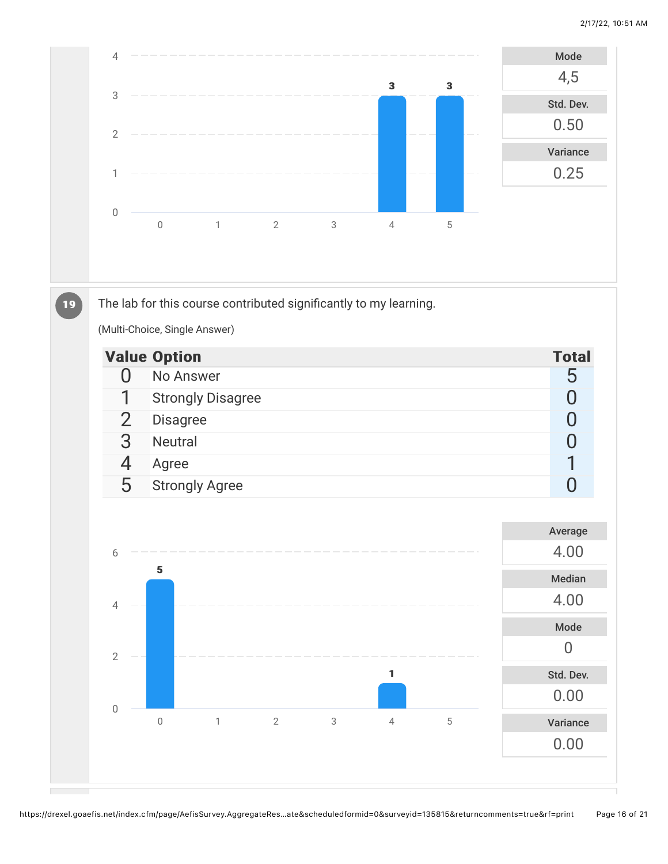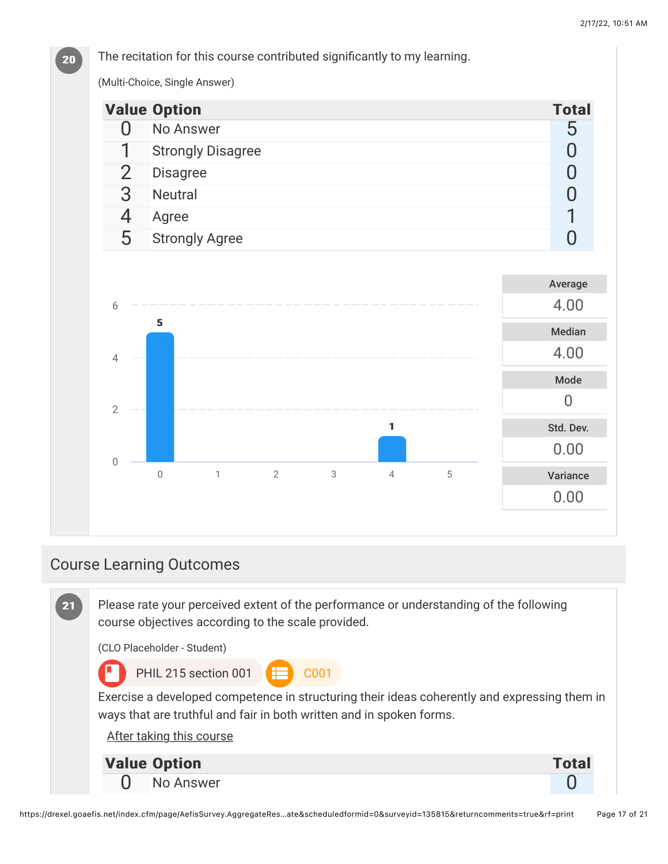

### Course Learning Outcomes



**20**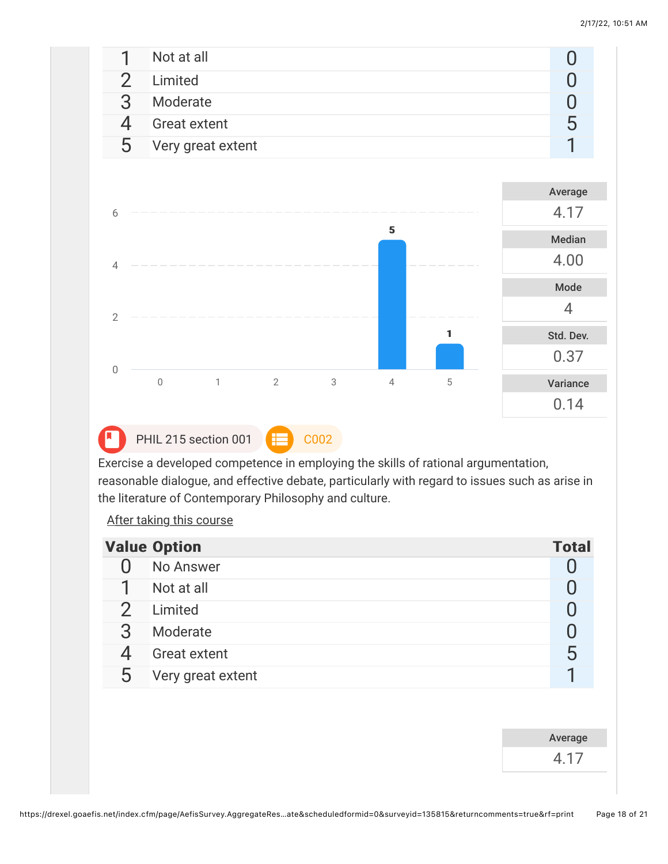

PHIL 215 section 001 **COO2** 

Exercise a developed competence in employing the skills of rational argumentation, reasonable dialogue, and effective debate, particularly with regard to issues such as arise in the literature of Contemporary Philosophy and culture.

After taking this course

|   | <b>Value Option</b> | <b>Total</b> |
|---|---------------------|--------------|
|   | No Answer           |              |
|   | Not at all          |              |
|   | Limited             |              |
| З | Moderate            |              |
|   | <b>Great extent</b> | h            |
| 5 | Very great extent   |              |

Average

4.17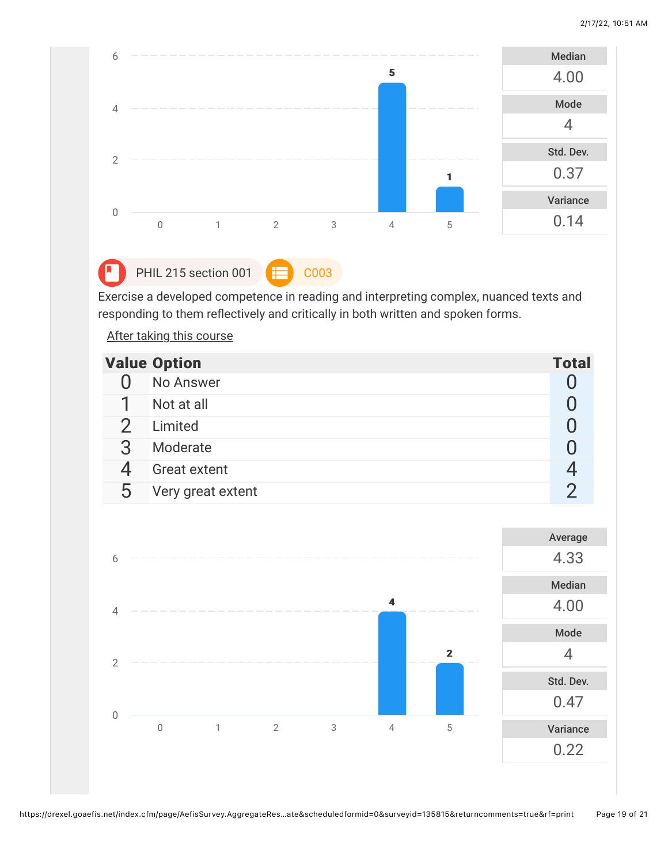

PHIL 215 section 001  $\left| \right|$  C003

Exercise a developed competence in reading and interpreting complex, nuanced texts and responding to them reflectively and critically in both written and spoken forms.

After taking this course

|   | <b>Value Option</b> | <b>Total</b> |
|---|---------------------|--------------|
|   | No Answer           |              |
|   | Not at all          |              |
|   | Limited             |              |
| っ | Moderate            |              |
|   | <b>Great extent</b> |              |
| 5 | Very great extent   |              |

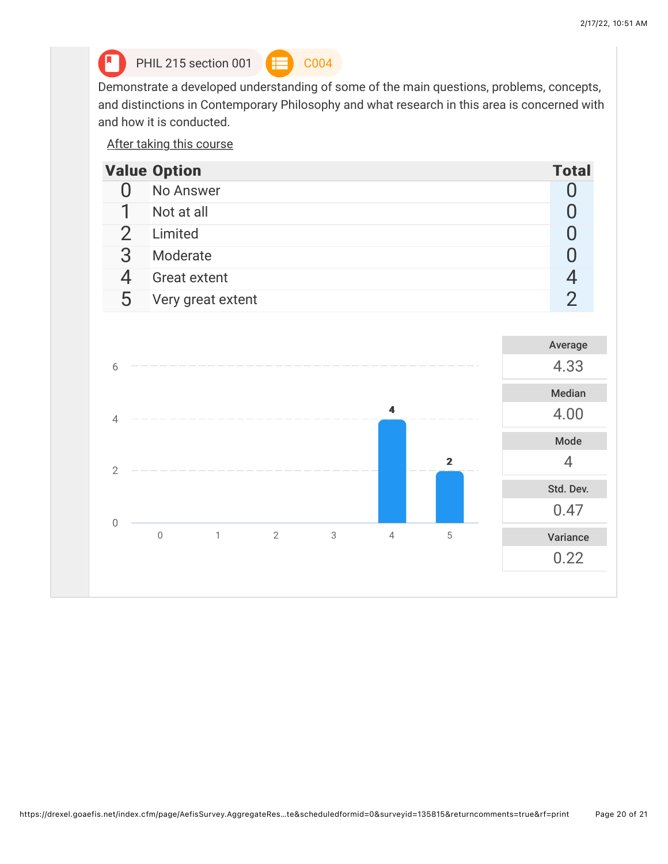

**A** PHIL 215 section 001  $\leftarrow$  C004



Demonstrate a developed understanding of some of the main questions, problems, concepts, and distinctions in Contemporary Philosophy and what research in this area is concerned with and how it is conducted.

After taking this course

|   | <b>Value Option</b> | <b>Total</b> |
|---|---------------------|--------------|
|   | No Answer           |              |
|   | Not at all          |              |
|   | Limited             |              |
|   | Moderate            |              |
|   | <b>Great extent</b> |              |
| 5 | Very great extent   |              |